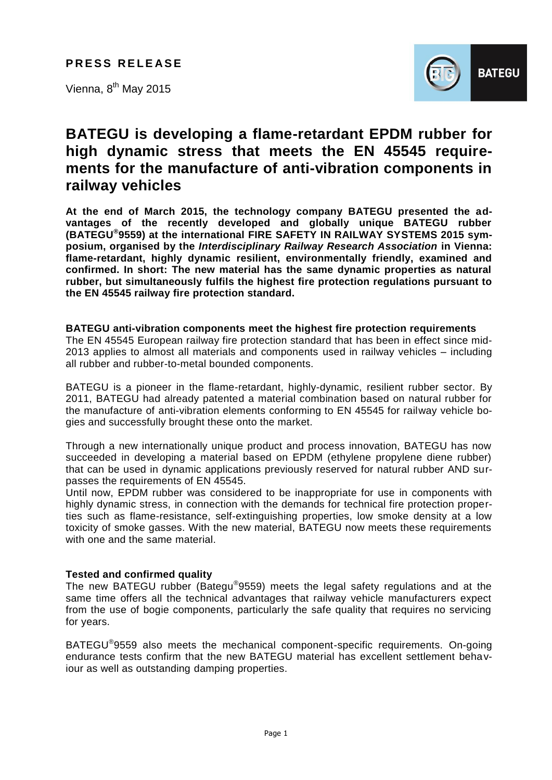**PRESS RELEASE** 

Vienna, 8<sup>th</sup> May 2015



# **BATEGU is developing a flame-retardant EPDM rubber for high dynamic stress that meets the EN 45545 requirements for the manufacture of anti-vibration components in railway vehicles**

**At the end of March 2015, the technology company BATEGU presented the advantages of the recently developed and globally unique BATEGU rubber (BATEGU® 9559) at the international FIRE SAFETY IN RAILWAY SYSTEMS 2015 symposium, organised by the** *Interdisciplinary Railway Research Association* **in Vienna: flame-retardant, highly dynamic resilient, environmentally friendly, examined and confirmed. In short: The new material has the same dynamic properties as natural rubber, but simultaneously fulfils the highest fire protection regulations pursuant to the EN 45545 railway fire protection standard.**

## **BATEGU anti-vibration components meet the highest fire protection requirements**

The EN 45545 European railway fire protection standard that has been in effect since mid-2013 applies to almost all materials and components used in railway vehicles – including all rubber and rubber-to-metal bounded components.

BATEGU is a pioneer in the flame-retardant, highly-dynamic, resilient rubber sector. By 2011, BATEGU had already patented a material combination based on natural rubber for the manufacture of anti-vibration elements conforming to EN 45545 for railway vehicle bogies and successfully brought these onto the market.

Through a new internationally unique product and process innovation, BATEGU has now succeeded in developing a material based on EPDM (ethylene propylene diene rubber) that can be used in dynamic applications previously reserved for natural rubber AND surpasses the requirements of EN 45545.

Until now, EPDM rubber was considered to be inappropriate for use in components with highly dynamic stress, in connection with the demands for technical fire protection properties such as flame-resistance, self-extinguishing properties, low smoke density at a low toxicity of smoke gasses. With the new material, BATEGU now meets these requirements with one and the same material.

## **Tested and confirmed quality**

The new BATEGU rubber (Bategu®9559) meets the legal safety regulations and at the same time offers all the technical advantages that railway vehicle manufacturers expect from the use of bogie components, particularly the safe quality that requires no servicing for years.

BATEGU<sup>®</sup>9559 also meets the mechanical component-specific requirements. On-going endurance tests confirm that the new BATEGU material has excellent settlement behaviour as well as outstanding damping properties.